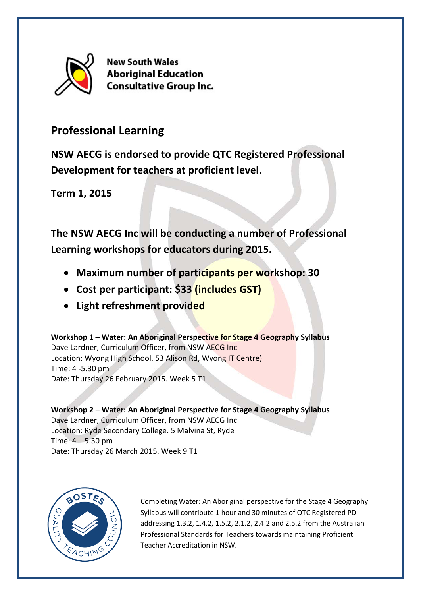

**New South Wales Aboriginal Education Consultative Group Inc.** 

## **Professional Learning**

**NSW AECG is endorsed to provide QTC Registered Professional Development for teachers at proficient level.**

**Term 1, 2015**

**The NSW AECG Inc will be conducting a number of Professional Learning workshops for educators during 2015.** 

- **Maximum number of participants per workshop: 30**
- **Cost per participant: \$33 (includes GST)**
- **Light refreshment provided**

**Workshop 1 – Water: An Aboriginal Perspective for Stage 4 Geography Syllabus** Dave Lardner, Curriculum Officer, from NSW AECG Inc Location: Wyong High School. 53 Alison Rd, Wyong IT Centre) Time: 4 -5.30 pm Date: Thursday 26 February 2015. Week 5 T1

**Workshop 2 – Water: An Aboriginal Perspective for Stage 4 Geography Syllabus** Dave Lardner, Curriculum Officer, from NSW AECG Inc Location: Ryde Secondary College. 5 Malvina St, Ryde Time: 4 – 5.30 pm Date: Thursday 26 March 2015. Week 9 T1



Completing Water: An Aboriginal perspective for the Stage 4 Geography Syllabus will contribute 1 hour and 30 minutes of QTC Registered PD addressing 1.3.2, 1.4.2, 1.5.2, 2.1.2, 2.4.2 and 2.5.2 from the Australian Professional Standards for Teachers towards maintaining Proficient Teacher Accreditation in NSW.